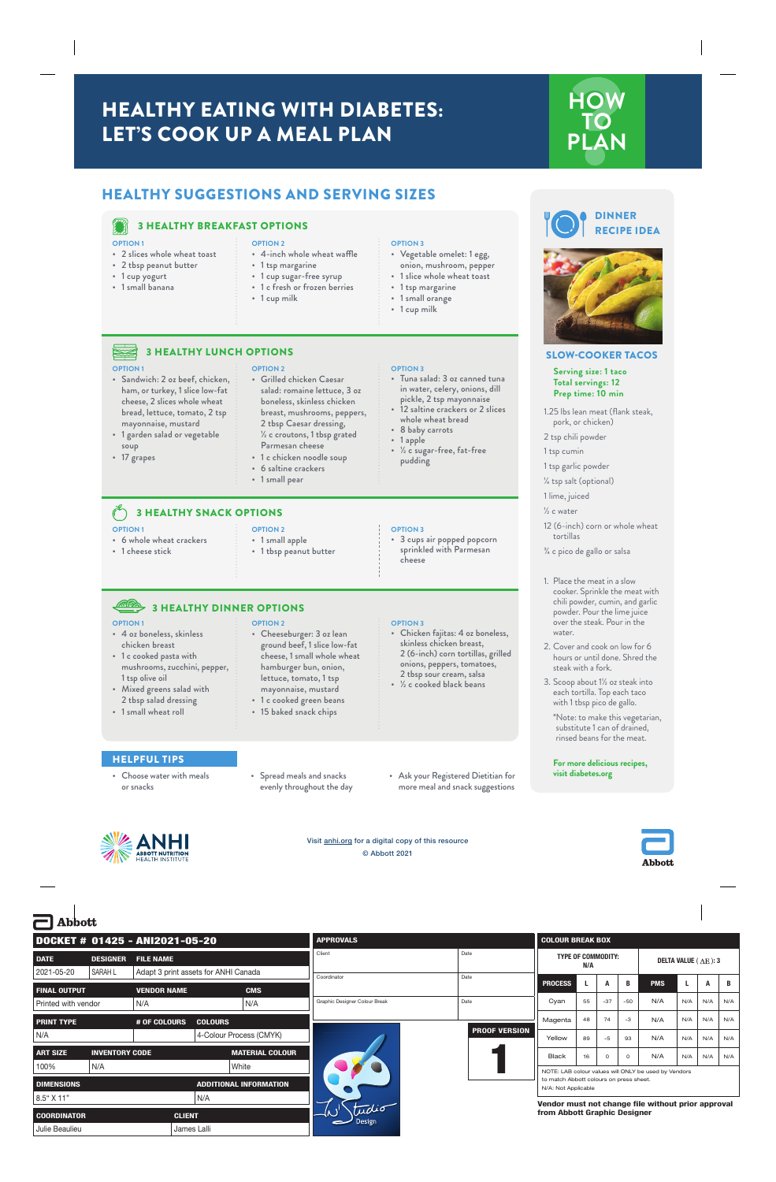# HEALTHY EATING WITH DIABETES: LET'S COOK UP A MEAL PLAN



# HEALTHY SUGGESTIONS AND SERVING SIZES



**OPTION 1**

soup • 17 grapes

## 3 HEALTHY BREAKFAST OPTIONS

3 HEALTHY LUNCH OPTIONS

### **OPTION 1**

- 2 slices whole wheat toast
- 2 tbsp peanut butter

• Sandwich: 2 oz beef, chicken, ham, or turkey, 1 slice low-fat cheese, 2 slices whole wheat bread, lettuce, tomato, 2 tsp mayonnaise, mustard • 1 garden salad or vegetable

- 1 cup yogurt
- 1 small banana

## **OPTION 2**

- 4-inch whole wheat waffle
- 1 tsp margarine

**OPTION 2**

- 1 cup sugar-free syrup
- 1 c fresh or frozen berries
- 1 cup milk

### **OPTION 3**

- Vegetable omelet: 1 egg, onion, mushroom, pepper
- 1 slice whole wheat toast
- 1 tsp margarine
- 1 small orange
- 1 cup milk





### SLOW-COOKER TACOS

**Serving size: 1 taco Total servings: 12 Prep time: 10 min**

1.25 lbs lean meat (flank steak, pork, or chicken)

2 tsp chili powder

1 tsp cumin

1 tsp garlic powder

¼ tsp salt (optional)

1 lime, juiced

½ c water

- 12 (6-inch) corn or whole wheat tortillas
- ¾ c pico de gallo or salsa

### 1. Place the meat in a slow cooker. Sprinkle the meat with chili powder, cumin, and garlic powder. Pour the lime juice over the steak. Pour in the water.

- 2. Cover and cook on low for 6 hours or until done. Shred the steak with a fork.
- 3. Scoop about 1½ oz steak into each tortilla. Top each taco with 1 tbsp pico de gallo.

\*Note: to make this vegetarian, substitute 1 can of drained, rinsed beans for the meat.

**Ahhoti** 

**For more delicious recipes, visit diabetes.org** 

### **OPTION 2**

- Cheeseburger: 3 oz lean ground beef, 1 slice low-fat cheese, 1 small whole wheat hamburger bun, onion, lettuce, tomato, 1 tsp
- 1 c cooked green beans
- 15 baked snack chips

### **OPTION 3**

- Chicken fajitas: 4 oz boneless, skinless chicken breast, 2 (6-inch) corn tortillas, grilled onions, peppers, tomatoes, 2 tbsp sour cream, salsa
- 
- 
- 

cheese

• 3 cups air popped popcorn sprinkled with Parmesan

# **OPTION 3**

• 6 saltine crackers • 1 small pear

breast, mushrooms, peppers, 2 tbsp Caesar dressing, ½ c croutons, 1 tbsp grated Parmesan cheese • 1 c chicken noodle soup

### 3 HEALTHY SNACK OPTIONS **OPTION 1 OPTION 2**

- 
- 6 whole wheat crackers
- 1 cheese stick

# • 1 tbsp peanut butter

• 1 small apple

# 3 HEALTHY DINNER OPTIONS

### <u>ASPA</u> **OPTION 1**

- 4 oz boneless, skinless chicken breast
- 1 c cooked pasta with mushrooms, zucchini, pepper, 1 tsp olive oil
- Mixed greens salad with 2 tbsp salad dressing
- 1 small wheat roll

HELPFUL TIPS • Choose water with meals

or snacks

- mayonnaise, mustard
- 
- 

- 
- ½ c cooked black beans

- Spread meals and snacks evenly throughout the day
- Ask your Registered Dietitian for more meal and snack suggestions



- Grilled chicken Caesar salad: romaine lettuce, 3 oz boneless, skinless chicken **OPTION 3**
	- Tuna salad: 3 oz canned tuna in water, celery, onions, dill
		- pickle, 2 tsp mayonnaise 12 saltine crackers or 2 slices whole wheat bread
		- ½ c sugar-free, fat-free pudding

• 1 apple

8 baby carrots



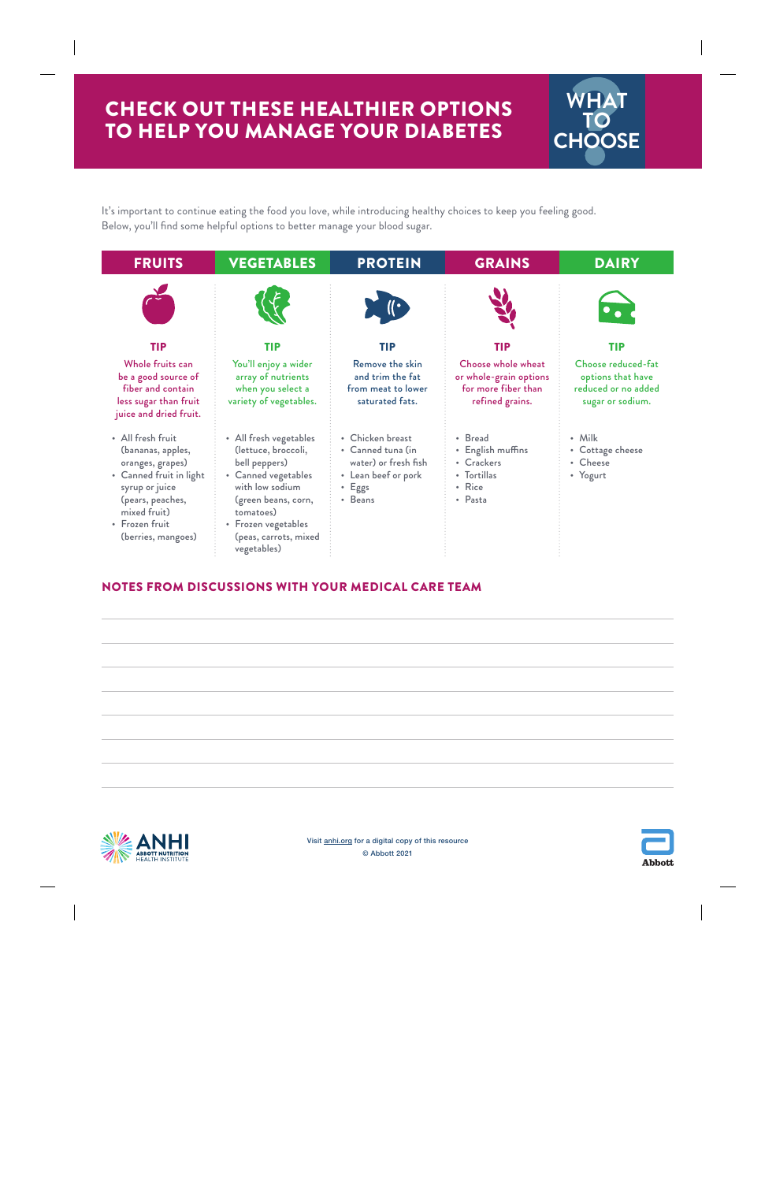# CHECK OUT THESE HEALTHIER OPTIONS TO HELP YOU MANAGE YOUR DIABETES



It's important to continue eating the food you love, while introducing healthy choices to keep you feeling good. Below, you'll find some helpful options to better manage your blood sugar.



# NOTES FROM DISCUSSIONS WITH YOUR MEDICAL CARE TEAM





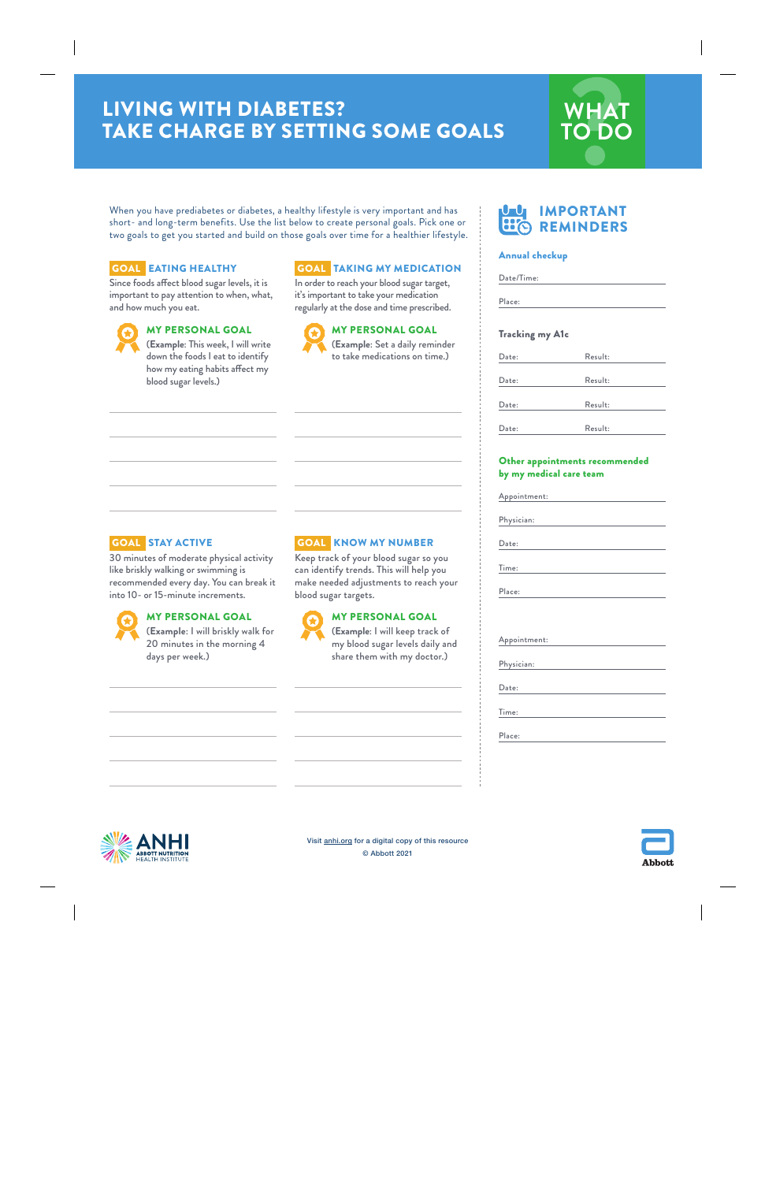# LIVING WITH DIABETES? TAKE CHARGE BY SETTING SOME GOALS



When you have prediabetes or diabetes, a healthy lifestyle is very important and has short- and long-term benefits. Use the list below to create personal goals. Pick one or two goals to get you started and build on those goals over time for a healthier lifestyle.

## GOAL EATING HEALTHY

Since foods affect blood sugar levels, it is important to pay attention to when, what, and how much you eat.



## MY PERSONAL GOAL

(**Example**: This week, I will write down the foods I eat to identify how my eating habits affect my blood sugar levels.)

## GOAL TAKING MY MEDICATION

In order to reach your blood sugar target, it's important to take your medication regularly at the dose and time prescribed.



MY PERSONAL GOAL (**Example**: Set a daily reminder

# GOAL STAY ACTIVE

30 minutes of moderate physical activity like briskly walking or swimming is recommended every day. You can break it into 10- or 15-minute increments.



## MY PERSONAL GOAL

(**Example**: I will briskly walk for 20 minutes in the morning 4 days per week.)

# GOAL KNOW MY NUMBER

Keep track of your blood sugar so you can identify trends. This will help you make needed adjustments to reach your blood sugar targets.



## MY PERSONAL GOAL

(**Example**: I will keep track of my blood sugar levels daily and share them with my doctor.)



### Annual checkup

| Place:                                        |         |
|-----------------------------------------------|---------|
| <b>Tracking my A1c</b>                        |         |
| Date:                                         | Result: |
| Date:                                         | Result: |
| Date:                                         | Result: |
| Date:                                         | Result: |
|                                               |         |
|                                               |         |
|                                               |         |
| Date:                                         |         |
| Appointment:<br>Physician:<br>Time:<br>Place: |         |
|                                               |         |
| Appointment:                                  |         |
|                                               |         |
|                                               |         |
| Physician:<br>Date:<br>Time:                  |         |



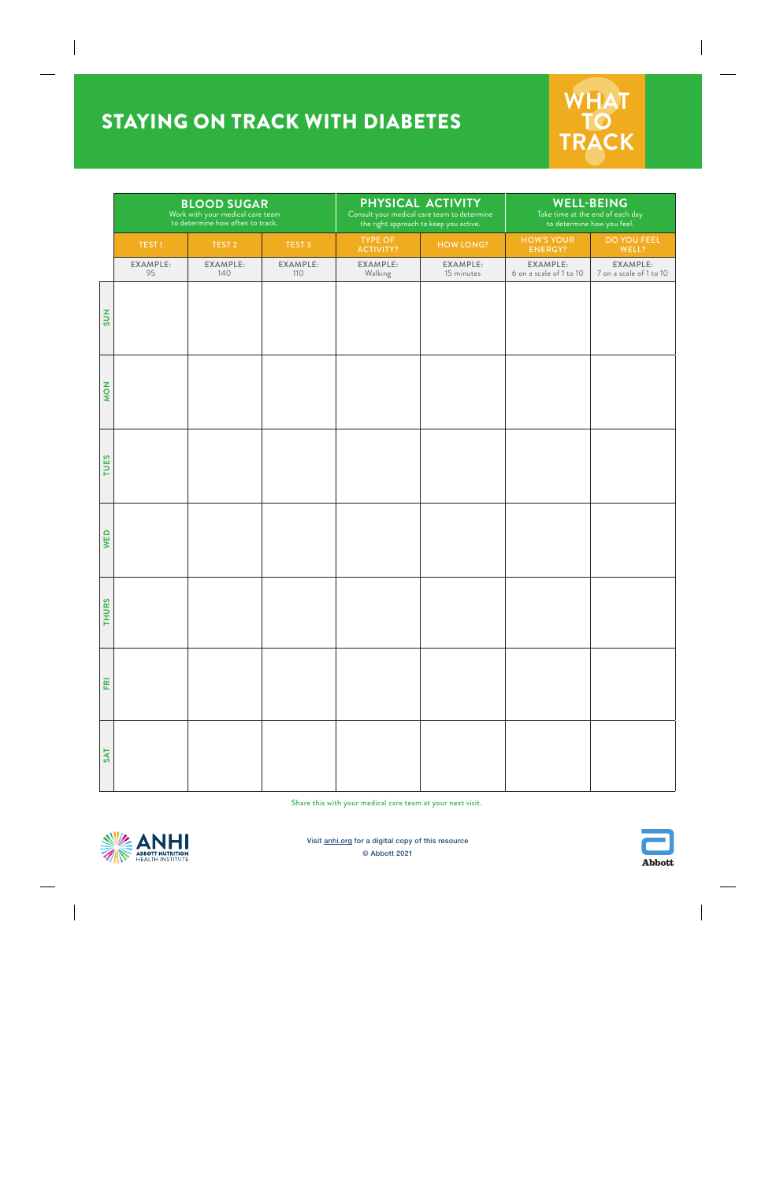# STAYING ON TRACK WITH DIABETES



|              | <b>BLOOD SUGAR</b><br>Work with your medical care team<br>to determine how often to track. |                   | PHYSICAL ACTIVITY<br>Consult your medical care team to determine<br>the right approach to keep you active. |                             | <b>WELL-BEING</b><br>Take time at the end of each day<br>to determine how you feel. |                                     |                                     |
|--------------|--------------------------------------------------------------------------------------------|-------------------|------------------------------------------------------------------------------------------------------------|-----------------------------|-------------------------------------------------------------------------------------|-------------------------------------|-------------------------------------|
|              | TEST <sub>1</sub>                                                                          | TEST <sub>2</sub> | TEST <sub>3</sub>                                                                                          | <b>TYPE OF</b><br>ACTIVITY? | <b>HOW LONG?</b>                                                                    | <b>HOW'S YOUR</b><br>ENERGY?        | DO YOU FEEL<br>WELL?                |
|              | EXAMPLE:<br>95                                                                             | EXAMPLE:<br>140   | EXAMPLE:<br>110                                                                                            | EXAMPLE:<br>Walking         | EXAMPLE:<br>15 minutes                                                              | EXAMPLE:<br>6 on a scale of 1 to 10 | EXAMPLE:<br>7 on a scale of 1 to 10 |
| <b>SUN</b>   |                                                                                            |                   |                                                                                                            |                             |                                                                                     |                                     |                                     |
| <b>NON</b>   |                                                                                            |                   |                                                                                                            |                             |                                                                                     |                                     |                                     |
| <b>TUES</b>  |                                                                                            |                   |                                                                                                            |                             |                                                                                     |                                     |                                     |
| WED          |                                                                                            |                   |                                                                                                            |                             |                                                                                     |                                     |                                     |
| <b>THURS</b> |                                                                                            |                   |                                                                                                            |                             |                                                                                     |                                     |                                     |
| FRI          |                                                                                            |                   |                                                                                                            |                             |                                                                                     |                                     |                                     |
| <b>SAT</b>   |                                                                                            |                   |                                                                                                            |                             |                                                                                     |                                     |                                     |

Share this with your medical care team at your next visit.